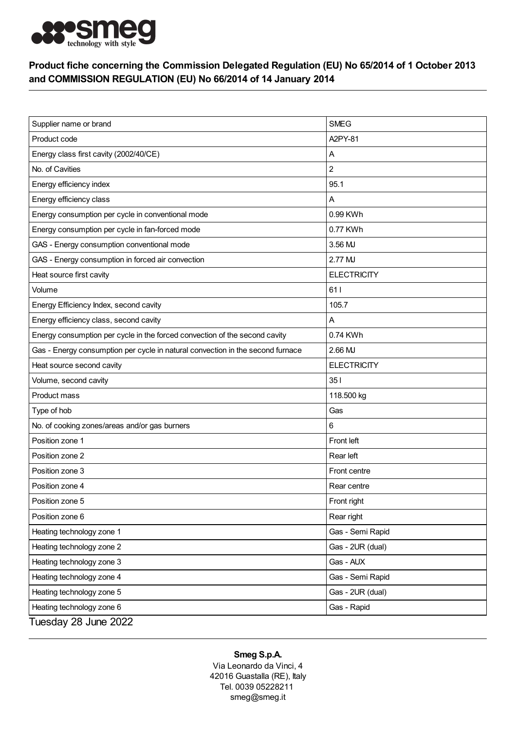

## Product fiche concerning the Commission Delegated Regulation (EU) No 65/2014 of 1 October 2013 and COMMISSION REGULATION (EU) No 66/2014 of 14 January 2014

| Supplier name or brand                                                         | <b>SMEG</b>        |
|--------------------------------------------------------------------------------|--------------------|
| Product code                                                                   | A2PY-81            |
| Energy class first cavity (2002/40/CE)                                         | Α                  |
| No. of Cavities                                                                | 2                  |
| Energy efficiency index                                                        | 95.1               |
| Energy efficiency class                                                        | Α                  |
| Energy consumption per cycle in conventional mode                              | 0.99 KWh           |
| Energy consumption per cycle in fan-forced mode                                | 0.77 KWh           |
| GAS - Energy consumption conventional mode                                     | 3.56 MJ            |
| GAS - Energy consumption in forced air convection                              | 2.77 MJ            |
| Heat source first cavity                                                       | <b>ELECTRICITY</b> |
| Volume                                                                         | 611                |
| Energy Efficiency Index, second cavity                                         | 105.7              |
| Energy efficiency class, second cavity                                         | A                  |
| Energy consumption per cycle in the forced convection of the second cavity     | 0.74 KWh           |
| Gas - Energy consumption per cycle in natural convection in the second furnace | 2.66 MJ            |
| Heat source second cavity                                                      | <b>ELECTRICITY</b> |
| Volume, second cavity                                                          | 351                |
| Product mass                                                                   | 118.500 kg         |
| Type of hob                                                                    | Gas                |
| No. of cooking zones/areas and/or gas burners                                  | 6                  |
| Position zone 1                                                                | Front left         |
| Position zone 2                                                                | Rear left          |
| Position zone 3                                                                | Front centre       |
| Position zone 4                                                                | Rear centre        |
| Position zone 5                                                                | Front right        |
| Position zone 6                                                                | Rear right         |
| Heating technology zone 1                                                      | Gas - Semi Rapid   |
| Heating technology zone 2                                                      | Gas - 2UR (dual)   |
| Heating technology zone 3                                                      | Gas - AUX          |
| Heating technology zone 4                                                      | Gas - Semi Rapid   |
| Heating technology zone 5                                                      | Gas - 2UR (dual)   |
| Heating technology zone 6                                                      | Gas - Rapid        |
| Tuesday 28 June 2022                                                           |                    |

## Smeg S.p.A.

Via Leonardo da Vinci, 4 42016 Guastalla (RE), Italy Tel. 0039 05228211 smeg@smeg.it